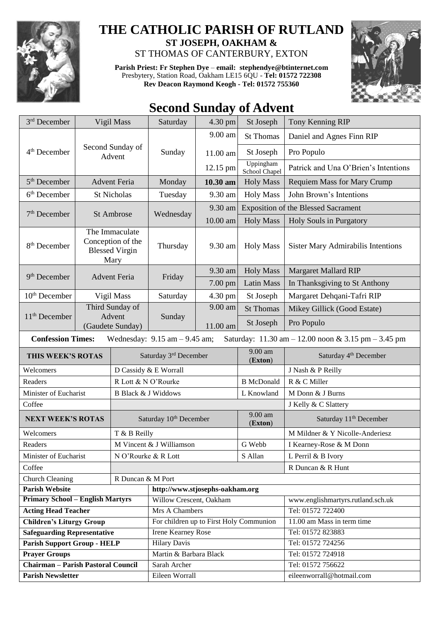

## **THE CATHOLIC PARISH OF RUTLAND ST JOSEPH, OAKHAM &**  ST THOMAS OF CANTERBURY, EXTON

**Parish Priest: Fr Stephen Dye** – **[email: stephendye@btinternet.com](mailto:email:%20%20stephendye@btinternet.com)** Presbytery, Station Road, Oakham LE15 6QU - **Tel: 01572 722308** 





## **Second Sunday of Advent**

| 3rd December                                                                                                                                            | Vigil Mass                                                           |                          | Saturday                                | 4.30 pm    | St Joseph                  | Tony Kenning RIP                               |  |  |
|---------------------------------------------------------------------------------------------------------------------------------------------------------|----------------------------------------------------------------------|--------------------------|-----------------------------------------|------------|----------------------------|------------------------------------------------|--|--|
|                                                                                                                                                         | Second Sunday of<br>Advent                                           |                          | Sunday                                  | 9.00 am    | <b>St Thomas</b>           | Daniel and Agnes Finn RIP                      |  |  |
| 4 <sup>th</sup> December                                                                                                                                |                                                                      |                          |                                         | 11.00 am   | St Joseph                  | Pro Populo                                     |  |  |
|                                                                                                                                                         |                                                                      |                          |                                         | 12.15 pm   | Uppingham<br>School Chapel | Patrick and Una O'Brien's Intentions           |  |  |
| $5th$ December                                                                                                                                          |                                                                      | <b>Advent Feria</b>      | Monday                                  | 10.30 am   | <b>Holy Mass</b>           | <b>Requiem Mass for Mary Crump</b>             |  |  |
| $6th$ December                                                                                                                                          |                                                                      | <b>St Nicholas</b>       | Tuesday                                 | 9.30 am    | <b>Holy Mass</b>           | John Brown's Intentions                        |  |  |
|                                                                                                                                                         | St Ambrose                                                           |                          | Wednesday                               | 9.30 am    |                            | <b>Exposition of the Blessed Sacrament</b>     |  |  |
| $7th$ December                                                                                                                                          |                                                                      |                          |                                         | $10.00$ am | <b>Holy Mass</b>           | Holy Souls in Purgatory                        |  |  |
| 8 <sup>th</sup> December                                                                                                                                | The Immaculate<br>Conception of the<br><b>Blessed Virgin</b><br>Mary |                          | Thursday                                | 9.30 am    | <b>Holy Mass</b>           | <b>Sister Mary Admirabilis Intentions</b>      |  |  |
|                                                                                                                                                         | <b>Advent Feria</b>                                                  |                          | Friday                                  | 9.30 am    | <b>Holy Mass</b>           | <b>Margaret Mallard RIP</b>                    |  |  |
| 9 <sup>th</sup> December                                                                                                                                |                                                                      |                          |                                         | 7.00 pm    | <b>Latin Mass</b>          | In Thanksgiving to St Anthony                  |  |  |
| $10th$ December                                                                                                                                         |                                                                      | Vigil Mass               | Saturday                                | 4.30 pm    | St Joseph                  | Margaret Dehqani-Tafri RIP                     |  |  |
|                                                                                                                                                         | Third Sunday of<br>Advent<br>(Gaudete Sunday)                        |                          | Sunday                                  | 9.00 am    | <b>St Thomas</b>           | Mikey Gillick (Good Estate)                    |  |  |
| 11 <sup>th</sup> December                                                                                                                               |                                                                      |                          |                                         | 11.00 am   | St Joseph                  | Pro Populo                                     |  |  |
| <b>Confession Times:</b><br>Wednesday: $9.15$ am $- 9.45$ am;<br>Saturday: $11.30 \text{ am} - 12.00 \text{ noon} \& 3.15 \text{ pm} - 3.45 \text{ pm}$ |                                                                      |                          |                                         |            |                            |                                                |  |  |
| THIS WEEK'S ROTAS                                                                                                                                       |                                                                      |                          | Saturday 3rd December                   |            | 9.00 am<br>(Exton)         | Saturday 4 <sup>th</sup> December              |  |  |
| Welcomers                                                                                                                                               |                                                                      |                          | D Cassidy & E Worrall                   |            |                            | J Nash & P Reilly                              |  |  |
| R Lott & N O'Rourke<br>Readers                                                                                                                          |                                                                      |                          |                                         |            | <b>B</b> McDonald          | R & C Miller                                   |  |  |
| Minister of Eucharist                                                                                                                                   |                                                                      |                          | <b>B</b> Black & J Widdows              |            | L Knowland                 | M Donn & J Burns                               |  |  |
| Coffee                                                                                                                                                  |                                                                      |                          |                                         |            |                            | J Kelly & C Slattery                           |  |  |
| <b>NEXT WEEK'S ROTAS</b>                                                                                                                                |                                                                      |                          | Saturday 10 <sup>th</sup> December      |            | 9.00 am<br>(Exton)         | Saturday 11 <sup>th</sup> December             |  |  |
| Welcomers<br>T & B Reilly                                                                                                                               |                                                                      |                          |                                         |            |                            | M Mildner & Y Nicolle-Anderiesz                |  |  |
| Readers                                                                                                                                                 |                                                                      | M Vincent & J Williamson |                                         | G Webb     | I Kearney-Rose & M Donn    |                                                |  |  |
| N O'Rourke & R Lott<br>Minister of Eucharist                                                                                                            |                                                                      |                          |                                         |            | S Allan                    | L Perril & B Ivory                             |  |  |
| Coffee                                                                                                                                                  |                                                                      |                          |                                         |            |                            | R Duncan & R Hunt                              |  |  |
| R Duncan & M Port<br>Church Cleaning                                                                                                                    |                                                                      |                          |                                         |            |                            |                                                |  |  |
| <b>Parish Website</b>                                                                                                                                   |                                                                      |                          | http://www.stjosephs-oakham.org         |            |                            |                                                |  |  |
| <b>Primary School - English Martyrs</b>                                                                                                                 |                                                                      |                          | Willow Crescent, Oakham                 |            |                            | www.englishmartyrs.rutland.sch.uk              |  |  |
| <b>Acting Head Teacher</b>                                                                                                                              |                                                                      |                          | Mrs A Chambers                          |            |                            | Tel: 01572 722400                              |  |  |
| <b>Children's Liturgy Group</b>                                                                                                                         |                                                                      |                          | For children up to First Holy Communion |            |                            |                                                |  |  |
| <b>Safeguarding Representative</b>                                                                                                                      |                                                                      |                          |                                         |            |                            | $11.00$ am Mass in term time                   |  |  |
|                                                                                                                                                         |                                                                      |                          | Irene Kearney Rose                      |            |                            | Tel: 01572 823883                              |  |  |
| <b>Parish Support Group - HELP</b>                                                                                                                      |                                                                      |                          | <b>Hilary Davis</b>                     |            |                            | Tel: 01572 724256                              |  |  |
| <b>Prayer Groups</b>                                                                                                                                    |                                                                      |                          | Martin & Barbara Black                  |            |                            | Tel: 01572 724918                              |  |  |
| <b>Chairman - Parish Pastoral Council</b><br><b>Parish Newsletter</b>                                                                                   |                                                                      |                          | Sarah Archer<br>Eileen Worrall          |            |                            | Tel: 01572 756622<br>eileenworrall@hotmail.com |  |  |